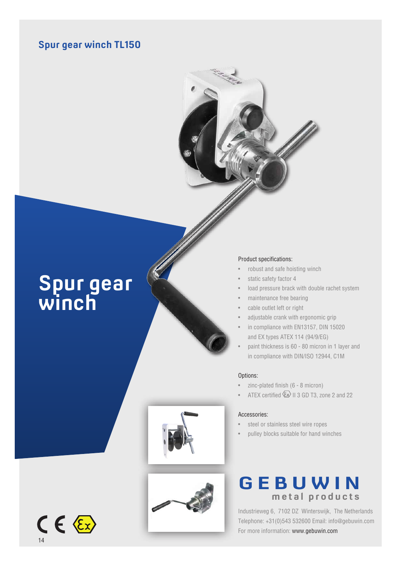### **Spur gear winch TL150**



# **Spur gear winch**

#### Product specifications:

- robust and safe hoisting winch
- static safety factor 4
- load pressure brack with double rachet system
- maintenance free bearing
- cable outlet left or right
- adjustable crank with ergonomic grip
- in compliance with EN13157, DIN 15020 and EX types ATEX 114 (94/9/EG)
- paint thickness is 60 80 micron in 1 layer and in compliance with DIN/ISO 12944, C1M

#### Options:

- zinc-plated finish (6 8 micron)
- ATEX certified  $\langle \overline{\xi_x} \rangle$  II 3 GD T3, zone 2 and 22

#### Accessories:

- steel or stainless steel wire ropes
- pulley blocks suitable for hand winches





## **GEBUWIN metal products**

Industrieweg 6, 7102 DZ Winterswijk, The Netherlands Telephone: +31(0)543 532600 Email: info@gebuwin.com For more information: www.gebuwin.com